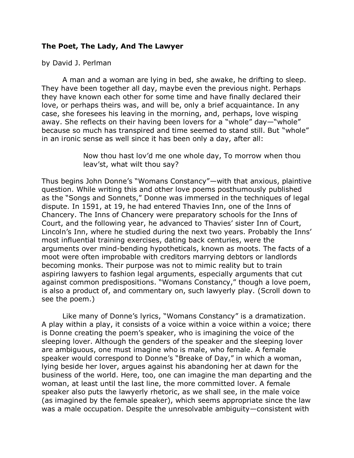## **The Poet, The Lady, And The Lawyer**

by David J. Perlman

A man and a woman are lying in bed, she awake, he drifting to sleep. They have been together all day, maybe even the previous night. Perhaps they have known each other for some time and have finally declared their love, or perhaps theirs was, and will be, only a brief acquaintance. In any case, she foresees his leaving in the morning, and, perhaps, love wisping away. She reflects on their having been lovers for a "whole" day—"whole" because so much has transpired and time seemed to stand still. But "whole" in an ironic sense as well since it has been only a day, after all:

> Now thou hast lov'd me one whole day, To morrow when thou leav'st, what wilt thou say?

Thus begins John Donne's "Womans Constancy"—with that anxious, plaintive question. While writing this and other love poems posthumously published as the "Songs and Sonnets," Donne was immersed in the techniques of legal dispute. In 1591, at 19, he had entered Thavies Inn, one of the Inns of Chancery. The Inns of Chancery were preparatory schools for the Inns of Court, and the following year, he advanced to Thavies' sister Inn of Court, Lincoln's Inn, where he studied during the next two years. Probably the Inns' most influential training exercises, dating back centuries, were the arguments over mind-bending hypotheticals, known as moots. The facts of a moot were often improbable with creditors marrying debtors or landlords becoming monks. Their purpose was not to mimic reality but to train aspiring lawyers to fashion legal arguments, especially arguments that cut against common predispositions. "Womans Constancy," though a love poem, is also a product of, and commentary on, such lawyerly play. (Scroll down to see the poem.)

Like many of Donne's lyrics, "Womans Constancy" is a dramatization. A play within a play, it consists of a voice within a voice within a voice; there is Donne creating the poem's speaker, who is imagining the voice of the sleeping lover. Although the genders of the speaker and the sleeping lover are ambiguous, one must imagine who is male, who female. A female speaker would correspond to Donne's "Breake of Day," in which a woman, lying beside her lover, argues against his abandoning her at dawn for the business of the world. Here, too, one can imagine the man departing and the woman, at least until the last line, the more committed lover. A female speaker also puts the lawyerly rhetoric, as we shall see, in the male voice (as imagined by the female speaker), which seems appropriate since the law was a male occupation. Despite the unresolvable ambiguity—consistent with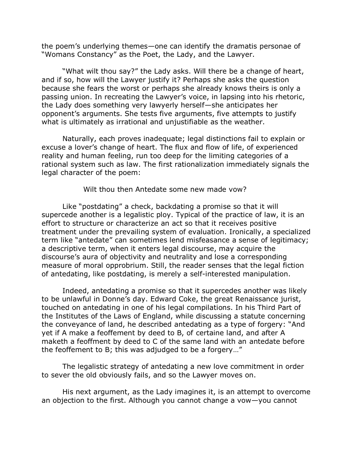the poem's underlying themes—one can identify the dramatis personae of "Womans Constancy" as the Poet, the Lady, and the Lawyer.

"What wilt thou say?" the Lady asks. Will there be a change of heart, and if so, how will the Lawyer justify it? Perhaps she asks the question because she fears the worst or perhaps she already knows theirs is only a passing union. In recreating the Lawyer's voice, in lapsing into his rhetoric, the Lady does something very lawyerly herself—she anticipates her opponent's arguments. She tests five arguments, five attempts to justify what is ultimately as irrational and unjustifiable as the weather.

Naturally, each proves inadequate; legal distinctions fail to explain or excuse a lover's change of heart. The flux and flow of life, of experienced reality and human feeling, run too deep for the limiting categories of a rational system such as law. The first rationalization immediately signals the legal character of the poem:

Wilt thou then Antedate some new made vow?

Like "postdating" a check, backdating a promise so that it will supercede another is a legalistic ploy. Typical of the practice of law, it is an effort to structure or characterize an act so that it receives positive treatment under the prevailing system of evaluation. Ironically, a specialized term like "antedate" can sometimes lend misfeasance a sense of legitimacy; a descriptive term, when it enters legal discourse, may acquire the discourse's aura of objectivity and neutrality and lose a corresponding measure of moral opprobrium. Still, the reader senses that the legal fiction of antedating, like postdating, is merely a self-interested manipulation.

Indeed, antedating a promise so that it supercedes another was likely to be unlawful in Donne's day. Edward Coke, the great Renaissance jurist, touched on antedating in one of his legal compilations. In his Third Part of the Institutes of the Laws of England, while discussing a statute concerning the conveyance of land, he described antedating as a type of forgery: "And yet if A make a feoffement by deed to B, of certaine land, and after A maketh a feoffment by deed to C of the same land with an antedate before the feoffement to B; this was adjudged to be a forgery…"

The legalistic strategy of antedating a new love commitment in order to sever the old obviously fails, and so the Lawyer moves on.

His next argument, as the Lady imagines it, is an attempt to overcome an objection to the first. Although you cannot change a vow—you cannot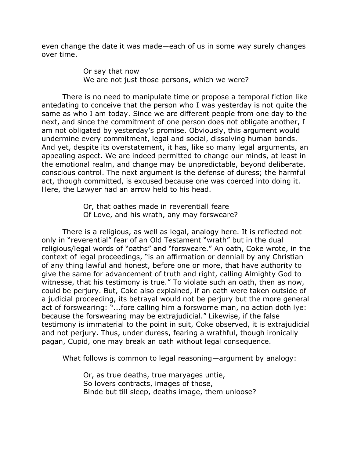even change the date it was made—each of us in some way surely changes over time.

> Or say that now We are not just those persons, which we were?

There is no need to manipulate time or propose a temporal fiction like antedating to conceive that the person who I was yesterday is not quite the same as who I am today. Since we are different people from one day to the next, and since the commitment of one person does not obligate another, I am not obligated by yesterday's promise. Obviously, this argument would undermine every commitment, legal and social, dissolving human bonds. And yet, despite its overstatement, it has, like so many legal arguments, an appealing aspect. We are indeed permitted to change our minds, at least in the emotional realm, and change may be unpredictable, beyond deliberate, conscious control. The next argument is the defense of duress; the harmful act, though committed, is excused because one was coerced into doing it. Here, the Lawyer had an arrow held to his head.

> Or, that oathes made in reverentiall feare Of Love, and his wrath, any may forsweare?

There is a religious, as well as legal, analogy here. It is reflected not only in "reverential" fear of an Old Testament "wrath" but in the dual religious/legal words of "oaths" and "forsweare." An oath, Coke wrote, in the context of legal proceedings, "is an affirmation or denniall by any Christian of any thing lawful and honest, before one or more, that have authority to give the same for advancement of truth and right, calling Almighty God to witnesse, that his testimony is true." To violate such an oath, then as now, could be perjury. But, Coke also explained, if an oath were taken outside of a judicial proceeding, its betrayal would not be perjury but the more general act of forswearing: "...fore calling him a forsworne man, no action doth lye: because the forswearing may be extrajudicial." Likewise, if the false testimony is immaterial to the point in suit, Coke observed, it is extrajudicial and not perjury. Thus, under duress, fearing a wrathful, though ironically pagan, Cupid, one may break an oath without legal consequence.

What follows is common to legal reasoning—argument by analogy:

Or, as true deaths, true maryages untie, So lovers contracts, images of those, Binde but till sleep, deaths image, them unloose?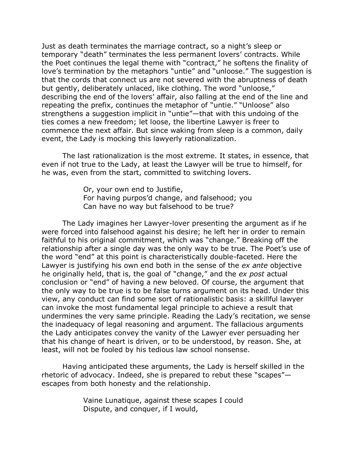Just as death terminates the marriage contract, so a night's sleep or temporary "death" terminates the less permanent lovers' contracts. While the Poet continues the legal theme with "contract," he softens the finality of love's termination by the metaphors "untie" and "unloose." The suggestion is that the cords that connect us are not severed with the abruptness of death but gently, deliberately unlaced, like clothing. The word "unloose," describing the end of the lovers' affair, also falling at the end of the line and repeating the prefix, continues the metaphor of "untie." "Unloose" also strengthens a suggestion implicit in "untie"—that with this undoing of the ties comes a new freedom; let loose, the libertine Lawyer is freer to commence the next affair. But since waking from sleep is a common, daily event, the Lady is mocking this lawyerly rationalization.

The last rationalization is the most extreme. It states, in essence, that even if not true to the Lady, at least the Lawyer will be true to himself, for he was, even from the start, committed to switching lovers.

> Or, your own end to Justifie, For having purpos'd change, and falsehood; you Can have no way but falsehood to be true?

The Lady imagines her Lawyer-lover presenting the argument as if he were forced into falsehood against his desire; he left her in order to remain faithful to his original commitment, which was "change." Breaking off the relationship after a single day was the only way to be true. The Poet's use of the word "end" at this point is characteristically double-faceted. Here the Lawyer is justifying his own end both in the sense of the *ex ante* objective he originally held, that is, the goal of "change," and the *ex post* actual conclusion or "end" of having a new beloved. Of course, the argument that the only way to be true is to be false turns argument on its head. Under this view, any conduct can find some sort of rationalistic basis: a skillful lawyer can invoke the most fundamental legal principle to achieve a result that undermines the very same principle. Reading the Lady's recitation, we sense the inadequacy of legal reasoning and argument. The fallacious arguments the Lady anticipates convey the vanity of the Lawyer ever persuading her that his change of heart is driven, or to be understood, by reason. She, at least, will not be fooled by his tedious law school nonsense.

Having anticipated these arguments, the Lady is herself skilled in the rhetoric of advocacy. Indeed, she is prepared to rebut these "scapes" escapes from both honesty and the relationship.

> Vaine Lunatique, against these scapes I could Dispute, and conquer, if I would,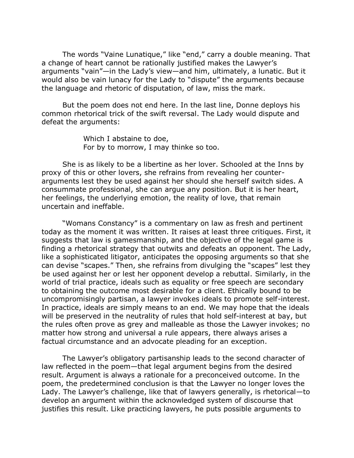The words "Vaine Lunatique," like "end," carry a double meaning. That a change of heart cannot be rationally justified makes the Lawyer's arguments "vain"—in the Lady's view—and him, ultimately, a lunatic. But it would also be vain lunacy for the Lady to "dispute" the arguments because the language and rhetoric of disputation, of law, miss the mark.

But the poem does not end here. In the last line, Donne deploys his common rhetorical trick of the swift reversal. The Lady would dispute and defeat the arguments:

> Which I abstaine to doe, For by to morrow, I may thinke so too.

She is as likely to be a libertine as her lover. Schooled at the Inns by proxy of this or other lovers, she refrains from revealing her counterarguments lest they be used against her should she herself switch sides. A consummate professional, she can argue any position. But it is her heart, her feelings, the underlying emotion, the reality of love, that remain uncertain and ineffable.

"Womans Constancy" is a commentary on law as fresh and pertinent today as the moment it was written. It raises at least three critiques. First, it suggests that law is gamesmanship, and the objective of the legal game is finding a rhetorical strategy that outwits and defeats an opponent. The Lady, like a sophisticated litigator, anticipates the opposing arguments so that she can devise "scapes." Then, she refrains from divulging the "scapes" lest they be used against her or lest her opponent develop a rebuttal. Similarly, in the world of trial practice, ideals such as equality or free speech are secondary to obtaining the outcome most desirable for a client. Ethically bound to be uncompromisingly partisan, a lawyer invokes ideals to promote self-interest. In practice, ideals are simply means to an end. We may hope that the ideals will be preserved in the neutrality of rules that hold self-interest at bay, but the rules often prove as grey and malleable as those the Lawyer invokes; no matter how strong and universal a rule appears, there always arises a factual circumstance and an advocate pleading for an exception.

The Lawyer's obligatory partisanship leads to the second character of law reflected in the poem—that legal argument begins from the desired result. Argument is always a rationale for a preconceived outcome. In the poem, the predetermined conclusion is that the Lawyer no longer loves the Lady. The Lawyer's challenge, like that of lawyers generally, is rhetorical—to develop an argument within the acknowledged system of discourse that justifies this result. Like practicing lawyers, he puts possible arguments to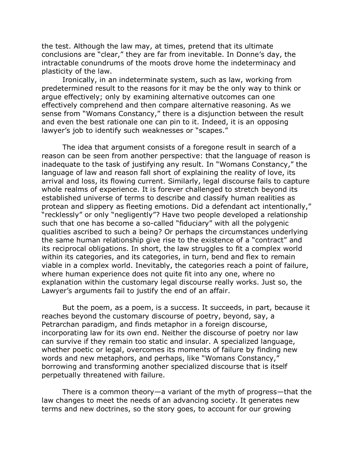the test. Although the law may, at times, pretend that its ultimate conclusions are "clear," they are far from inevitable. In Donne's day, the intractable conundrums of the moots drove home the indeterminacy and plasticity of the law.

Ironically, in an indeterminate system, such as law, working from predetermined result to the reasons for it may be the only way to think or argue effectively; only by examining alternative outcomes can one effectively comprehend and then compare alternative reasoning. As we sense from "Womans Constancy," there is a disjunction between the result and even the best rationale one can pin to it. Indeed, it is an opposing lawyer's job to identify such weaknesses or "scapes."

The idea that argument consists of a foregone result in search of a reason can be seen from another perspective: that the language of reason is inadequate to the task of justifying any result. In "Womans Constancy," the language of law and reason fall short of explaining the reality of love, its arrival and loss, its flowing current. Similarly, legal discourse fails to capture whole realms of experience. It is forever challenged to stretch beyond its established universe of terms to describe and classify human realities as protean and slippery as fleeting emotions. Did a defendant act intentionally," "recklessly" or only "negligently"? Have two people developed a relationship such that one has become a so-called "fiduciary" with all the polygenic qualities ascribed to such a being? Or perhaps the circumstances underlying the same human relationship give rise to the existence of a "contract" and its reciprocal obligations. In short, the law struggles to fit a complex world within its categories, and its categories, in turn, bend and flex to remain viable in a complex world. Inevitably, the categories reach a point of failure, where human experience does not quite fit into any one, where no explanation within the customary legal discourse really works. Just so, the Lawyer's arguments fail to justify the end of an affair.

But the poem, as a poem, is a success. It succeeds, in part, because it reaches beyond the customary discourse of poetry, beyond, say, a Petrarchan paradigm, and finds metaphor in a foreign discourse, incorporating law for its own end. Neither the discourse of poetry nor law can survive if they remain too static and insular. A specialized language, whether poetic or legal, overcomes its moments of failure by finding new words and new metaphors, and perhaps, like "Womans Constancy," borrowing and transforming another specialized discourse that is itself perpetually threatened with failure.

There is a common theory—a variant of the myth of progress—that the law changes to meet the needs of an advancing society. It generates new terms and new doctrines, so the story goes, to account for our growing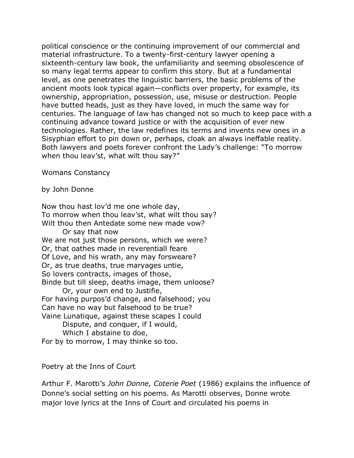political conscience or the continuing improvement of our commercial and material infrastructure. To a twenty-first-century lawyer opening a sixteenth-century law book, the unfamiliarity and seeming obsolescence of so many legal terms appear to confirm this story. But at a fundamental level, as one penetrates the linguistic barriers, the basic problems of the ancient moots look typical again—conflicts over property, for example, its ownership, appropriation, possession, use, misuse or destruction. People have butted heads, just as they have loved, in much the same way for centuries. The language of law has changed not so much to keep pace with a continuing advance toward justice or with the acquisition of ever new technologies. Rather, the law redefines its terms and invents new ones in a Sisyphian effort to pin down or, perhaps, cloak an always ineffable reality. Both lawyers and poets forever confront the Lady's challenge: "To morrow when thou leav'st, what wilt thou say?"

Womans Constancy

by John Donne

Now thou hast lov'd me one whole day, To morrow when thou leav'st, what wilt thou say? Wilt thou then Antedate some new made vow? Or say that now We are not just those persons, which we were? Or, that oathes made in reverentiall feare Of Love, and his wrath, any may forsweare? Or, as true deaths, true maryages untie, So lovers contracts, images of those, Binde but till sleep, deaths image, them unloose? Or, your own end to Justifie, For having purpos'd change, and falsehood; you Can have no way but falsehood to be true? Vaine Lunatique, against these scapes I could Dispute, and conquer, if I would, Which I abstaine to doe, For by to morrow, I may thinke so too.

## Poetry at the Inns of Court

Arthur F. Marotti's *John Donne, Coterie Poet* (1986) explains the influence of Donne's social setting on his poems. As Marotti observes, Donne wrote major love lyrics at the Inns of Court and circulated his poems in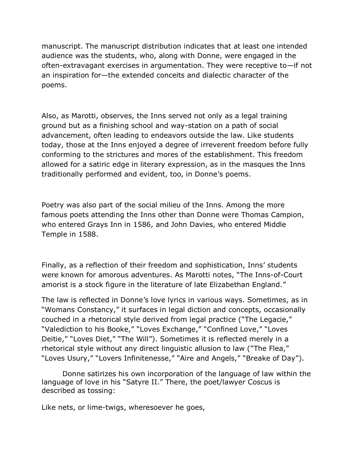manuscript. The manuscript distribution indicates that at least one intended audience was the students, who, along with Donne, were engaged in the often-extravagant exercises in argumentation. They were receptive to—if not an inspiration for—the extended conceits and dialectic character of the poems.

Also, as Marotti, observes, the Inns served not only as a legal training ground but as a finishing school and way-station on a path of social advancement, often leading to endeavors outside the law. Like students today, those at the Inns enjoyed a degree of irreverent freedom before fully conforming to the strictures and mores of the establishment. This freedom allowed for a satiric edge in literary expression, as in the masques the Inns traditionally performed and evident, too, in Donne's poems.

Poetry was also part of the social milieu of the Inns. Among the more famous poets attending the Inns other than Donne were Thomas Campion, who entered Grays Inn in 1586, and John Davies, who entered Middle Temple in 1588.

Finally, as a reflection of their freedom and sophistication, Inns' students were known for amorous adventures. As Marotti notes, "The Inns-of-Court amorist is a stock figure in the literature of late Elizabethan England."

The law is reflected in Donne's love lyrics in various ways. Sometimes, as in "Womans Constancy," it surfaces in legal diction and concepts, occasionally couched in a rhetorical style derived from legal practice ("The Legacie," "Valediction to his Booke," "Loves Exchange," "Confined Love," "Loves Deitie," "Loves Diet," "The Will"). Sometimes it is reflected merely in a rhetorical style without any direct linguistic allusion to law ("The Flea," "Loves Usury," "Lovers Infinitenesse," "Aire and Angels," "Breake of Day").

Donne satirizes his own incorporation of the language of law within the language of love in his "Satyre II." There, the poet/lawyer Coscus is described as tossing:

Like nets, or lime-twigs, wheresoever he goes,